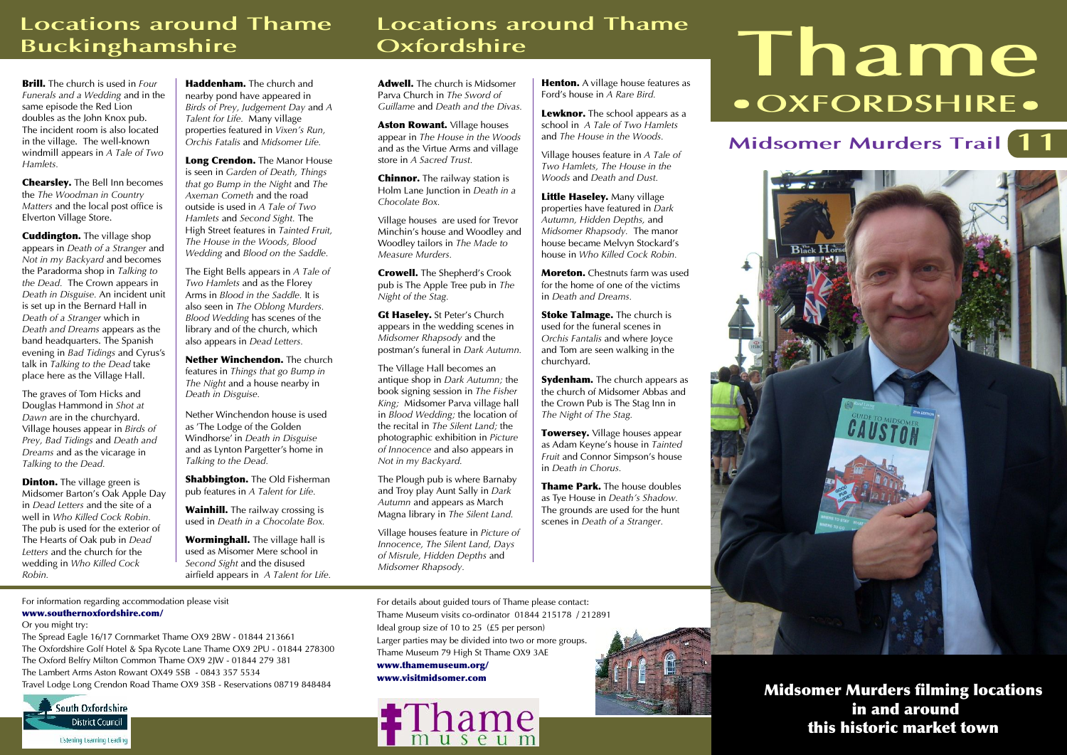## **Locations around Thame Buckinghamshire**

**Brill.** *The church is used in Four Funerals and a Wedding and in the same episode the Red Lion doubles as the John Knox pub. The incident room is also located in the village. The well-known windmill appears in A Tale of Two Hamlets.*

**Chearsley.** *The Bell Inn becomes the The Woodman in Country Matters and the local post office is Elverton Village Store.* 

**Cuddington.** *The village shop appears in Death of a Stranger and Not in my Backyard and becomes the Paradorma shop in Talking to the Dead. The Crown appears in Death in Disguise. An incident unit is set up in the Bernard Hall in Death of a Stranger which in Death and Dreams appears as the band headquarters. The Spanish evening in Bad Tidings and Cyrus's talk in Talking to the Dead take place here as the Village Hall.* 

*The graves of Tom Hicks and Douglas Hammond in Shot at Dawn are in the churchyard. Village houses appear in Birds of Prey, Bad Tidings and Death and Dreams and as the vicarage in Talking to the Dead.*

**Dinton.** *The village green is Midsomer Barton's Oak Apple Day in Dead Letters and the site of a well in Who Killed Cock Robin. The pub is used for the exterior of The Hearts of Oak pub in Dead Letters and the church for the wedding in Who Killed Cock Robin.*

**Haddenham.** *The church and nearby pond have appeared in Birds of Prey, Judgement Day and A Talent for Life. Many village properties featured in Vixen's Run, Orchis Fatalis and Midsomer Life.*

**Long Crendon.** *The Manor House is seen in Garden of Death, Things that go Bump in the Night and The Axeman Cometh and the road outside is used in A Tale of Two Hamlets and Second Sight. The High Street features in Tainted Fruit, The House in the Woods, Blood Wedding and Blood on the Saddle.*

*The Eight Bells appears in A Tale of Two Hamlets and as the Florey Arms in Blood in the Saddle. It is also seen in The Oblong Murders. Blood Wedding has scenes of the library and of the church, which also appears in Dead Letters.*

**Nether Winchendon.** *The church features in Things that go Bump in The Night and a house nearby in Death in Disguise.*

*Nether Winchendon house is used as 'The Lodge of the Golden Windhorse' in Death in Disguise and as Lynton Pargetter's home in Talking to the Dead.*

**Shabbington.** *The Old Fisherman pub features in A Talent for Life.*

**Wainhill.** *The railway crossing is used in Death in a Chocolate Box.*

**Worminghall.** *The village hall is used as Misomer Mere school in Second Sight and the disused airfield appears in A Talent for Life.*

## **Locations around Thame Oxfordshire**

**Adwell.** *The church is Midsomer Parva Church in The Sword of Guillame and Death and the Divas.*

**Aston Rowant.** *Village houses appear in The House in the Woods and as the Virtue Arms and village store in A Sacred Trust.*

**Chinnor.** *The railway station is Holm Lane Junction in Death in a Chocolate Box.*

*Village houses are used for Trevor Minchin's house and Woodley and Woodley tailors in The Made to Measure Murders.*

**Crowell.** *The Shepherd's Crook pub is The Apple Tree pub in The Night of the Stag.*

**Gt Haseley.** *St Peter's Church appears in the wedding scenes in Midsomer Rhapsody and the postman's funeral in Dark Autumn.*

*The Village Hall becomes an antique shop in Dark Autumn; the book signing session in The Fisher King; Midsomer Parva village hall in Blood Wedding; the location of the recital in The Silent Land; the photographic exhibition in Picture of Innocence and also appears in Not in my Backyard.*

*The Plough pub is where Barnaby and Troy play Aunt Sally in Dark Autumn and appears as March Magna library in The Silent Land.*

*Village houses feature in Picture of Innocence, The Silent Land, Days of Misrule, Hidden Depths and Midsomer Rhapsody.*

**Henton.** *A village house features as Ford's house in A Rare Bird.*

**Lewknor.** *The school appears as a school in A Tale of Two Hamlets and The House in the Woods.*

*Village houses feature in A Tale of Two Hamlets, The House in the Woods and Death and Dust.*

**Little Haseley.** *Many village properties have featured in Dark Autumn, Hidden Depths, and Midsomer Rhapsody. The manor house became Melvyn Stockard's house in Who Killed Cock Robin.*

**Moreton.** *Chestnuts farm was used for the home of one of the victims in Death and Dreams.*

**Stoke Talmage.** *The church is used for the funeral scenes in Orchis Fantalis and where Joyce and Tom are seen walking in the churchyard.*

**Sydenham.** *The church appears as the church of Midsomer Abbas and the Crown Pub is The Stag Inn in The Night of The Stag.*

**Towersey.** *Village houses appear as Adam Keyne's house in Tainted Fruit and Connor Simpson's house in Death in Chorus.*

**Thame Park.** *The house doubles as Tye House in Death's Shadow. The grounds are used for the hunt scenes in Death of a Stranger.*

# **Thame <sup>O</sup> OXFORDSHIRE <sup>O</sup>**

# **Midsomer Murders Trail 11**



**Midsomer Murders filming locations in and around this historic market town**

*For information regarding accommodation please visit*  **www.southernoxfordshire.com/**

#### *Or you might try:*

*The Spread Eagle 16/17 Cornmarket Thame OX9 2BW - 01844 213661 The Oxfordshire Golf Hotel & Spa Rycote Lane Thame OX9 2PU - 01844 278300 The Oxford Belfry Milton Common Thame OX9 2JW - 01844 279 381 The Lambert Arms Aston Rowant OX49 5SB - 0843 357 5534 Travel Lodge Long Crendon Road Thame OX9 3SB - Reservations 08719 848484*



*For details about guided tours of Thame please contact: Thame Museum visits co-ordinator 01844 215178 / 212891 Ideal group size of 10 to 25 (£5 per person) Larger parties may be divided into two or more groups. Thame Museum 79 High St Thame OX9 3AE*  **www.thamemuseum.org/ www.visitmidsomer.com**